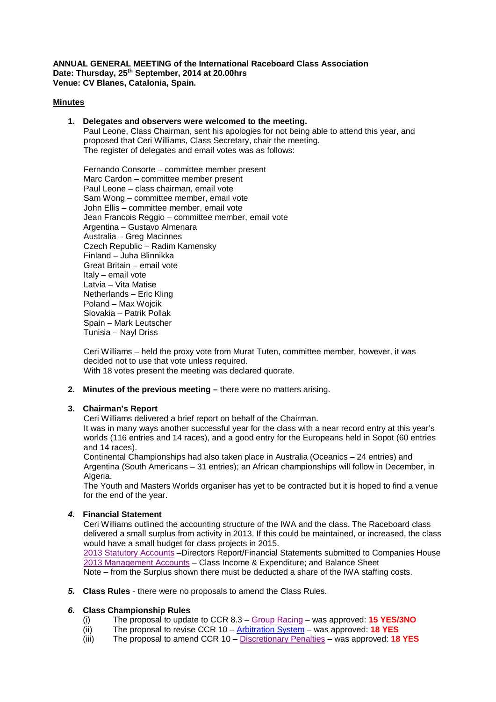**ANNUAL GENERAL MEETING of the International Raceboard Class Association Date: Thursday, 25th September, 2014 at 20.00hrs Venue: CV Blanes, Catalonia, Spain.**

#### **Minutes**

#### **1. Delegates and observers were welcomed to the meeting.**

Paul Leone, Class Chairman, sent his apologies for not being able to attend this year, and proposed that Ceri Williams, Class Secretary, chair the meeting. The register of delegates and email votes was as follows:

Fernando Consorte – committee member present Marc Cardon – committee member present Paul Leone – class chairman, email vote Sam Wong – committee member, email vote John Ellis – committee member, email vote Jean Francois Reggio – committee member, email vote Argentina – Gustavo Almenara Australia – Greg Macinnes Czech Republic – Radim Kamensky Finland – Juha Blinnikka Great Britain – email vote Italy – email vote Latvia – Vita Matise Netherlands – Eric Kling Poland – Max Wojcik Slovakia – Patrik Pollak Spain – Mark Leutscher Tunisia – Nayl Driss

Ceri Williams – held the proxy vote from Murat Tuten, committee member, however, it was decided not to use that vote unless required. With 18 votes present the meeting was declared quorate.

### **2. Minutes of the previous meeting –** there were no matters arising.

#### **3. Chairman's Report**

Ceri Williams delivered a brief report on behalf of the Chairman.

It was in many ways another successful year for the class with a near record entry at this year's worlds (116 entries and 14 races), and a good entry for the Europeans held in Sopot (60 entries and 14 races).

Continental Championships had also taken place in Australia (Oceanics – 24 entries) and Argentina (South Americans – 31 entries); an African championships will follow in December, in Algeria.

The Youth and Masters Worlds organiser has yet to be contracted but it is hoped to find a venue for the end of the year.

#### *4.* **Financial Statement**

Ceri Williams outlined the accounting structure of the IWA and the class. The Raceboard class delivered a small surplus from activity in 2013. If this could be maintained, or increased, the class would have a small budget for class projects in 2015.

[2013 Statutory Accounts](http://internationalwindsurfing.com/userfiles/documents/IWA_stat_acs_140930.pdf) –Directors Report/Financial Statements submitted to Companies House [2013 Management Accounts](http://internationalwindsurfing.com/userfiles/documents/IWA_Manacs_2013.pdf) – Class Income & Expenditure; and Balance Sheet Note – from the Surplus shown there must be deducted a share of the IWA staffing costs.

# *5.* **Class Rules** - there were no proposals to amend the Class Rules.

# *6.* **Class Championship Rules**

- (i) The proposal to update to CCR 8.3 [Group Racing](http://www.internationalwindsurfing.com/userfiles/documents/CHAMPIONSHIP_RULES_Group_Racing.pdf) was approved: **15 YES/3NO**
- (ii) The proposal to revise CCR 10 [Arbitration System](http://www.internationalwindsurfing.com/userfiles/documents/http:/www.internationalwindsurfing.com/userfiles/documents/CHAMPIONSHIP_RULES_Arbitration_System.pdf) was approved: **18 YES**
- (iii) The proposal to amend CCR 10 [Discretionary Penalties](http://www.internationalwindsurfing.com/userfiles/documents/CHAMPIONSHIP_RULES_Arbitration_System.pdf) was approved: **18 YES**